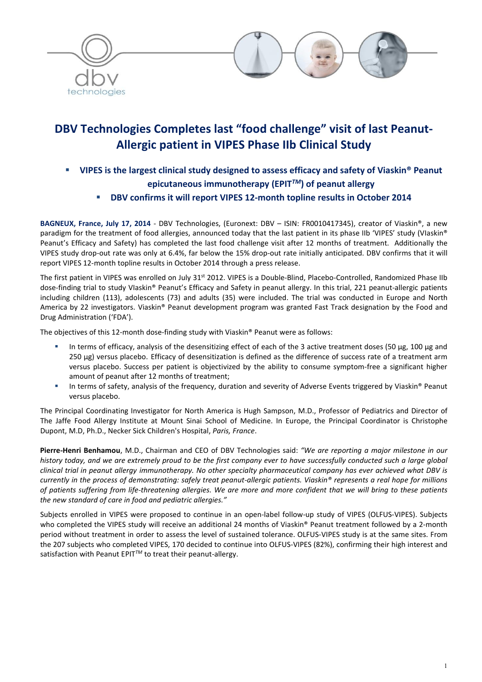

# DBV Technologies Completes last "food challenge" visit of last Peanut-Allergic patient in VIPES Phase IIb Clinical Study

- VIPES is the largest clinical study designed to assess efficacy and safety of Viaskin® Peanut epicutaneous immunotherapy (EPIT*TM*) of peanut allergy
	- DBV confirms it will report VIPES 12-month topline results in October 2014

BAGNEUX, France, July 17, 2014 - DBV Technologies, (Euronext: DBV - ISIN: FR0010417345), creator of Viaskin®, a new paradigm for the treatment of food allergies, announced today that the last patient in its phase IIb 'VIPES' study (VIaskin® Peanut's Efficacy and Safety) has completed the last food challenge visit after 12 months of treatment. Additionally the VIPES study drop-out rate was only at 6.4%, far below the 15% drop-out rate initially anticipated. DBV confirms that it will report VIPES 12-month topline results in October 2014 through a press release.

The first patient in VIPES was enrolled on July 31<sup>st</sup> 2012. VIPES is a Double-Blind, Placebo-Controlled, Randomized Phase IIb dose-finding trial to study VIaskin® Peanut's Efficacy and Safety in peanut allergy. In this trial, 221 peanut-allergic patients including children (113), adolescents (73) and adults (35) were included. The trial was conducted in Europe and North America by 22 investigators. Viaskin® Peanut development program was granted Fast Track designation by the Food and Drug Administration ('FDA').

The objectives of this 12-month dose-finding study with Viaskin® Peanut were as follows:

- In terms of efficacy, analysis of the desensitizing effect of each of the 3 active treatment doses (50  $\mu$ g, 100  $\mu$ g and 250 µg) versus placebo. Efficacy of desensitization is defined as the difference of success rate of a treatment arm versus placebo. Success per patient is objectivized by the ability to consume symptom-free a significant higher amount of peanut after 12 months of treatment;
- In terms of safety, analysis of the frequency, duration and severity of Adverse Events triggered by Viaskin® Peanut versus placebo.

The Principal Coordinating Investigator for North America is Hugh Sampson, M.D., Professor of Pediatrics and Director of The Jaffe Food Allergy Institute at Mount Sinai School of Medicine. In Europe, the Principal Coordinator is Christophe Dupont, M.D, Ph.D., Necker Sick Children's Hospital, *Paris, France*.

Pierre-Henri Benhamou, M.D., Chairman and CEO of DBV Technologies said: *"We are reporting a major milestone in our history today, and we are extremely proud to be the first company ever to have successfully conducted such a large global clinical trial in peanut allergy immunotherapy. No other specialty pharmaceutical company has ever achieved what DBV is currently in the process of demonstrating: safely treat peanut-allergic patients. Viaskin® represents a real hope for millions of patients suffering from life-threatening allergies. We are more and more confident that we will bring to these patients the new standard of care in food and pediatric allergies."*

Subjects enrolled in VIPES were proposed to continue in an open-label follow-up study of VIPES (OLFUS-VIPES). Subjects who completed the VIPES study will receive an additional 24 months of Viaskin® Peanut treatment followed by a 2-month period without treatment in order to assess the level of sustained tolerance. OLFUS-VIPES study is at the same sites. From the 207 subjects who completed VIPES, 170 decided to continue into OLFUS-VIPES (82%), confirming their high interest and satisfaction with Peanut EPIT*TM* to treat their peanut-allergy.